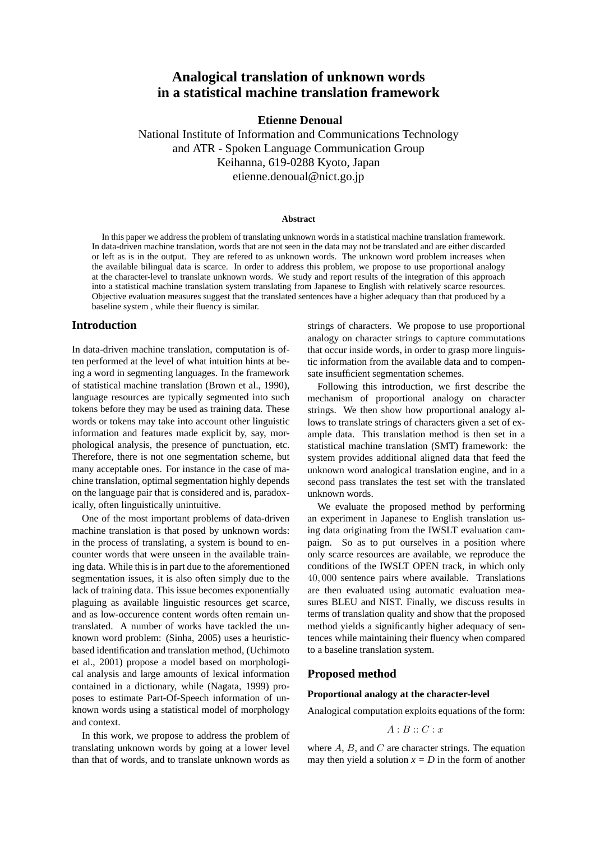# **Analogical translation of unknown words in a statistical machine translation framework**

## **Etienne Denoual**

National Institute of Information and Communications Technology and ATR - Spoken Language Communication Group Keihanna, 619-0288 Kyoto, Japan etienne.denoual@nict.go.jp

#### **Abstract**

In this paper we address the problem of translating unknown words in a statistical machine translation framework. In data-driven machine translation, words that are not seen in the data may not be translated and are either discarded or left as is in the output. They are refered to as unknown words. The unknown word problem increases when the available bilingual data is scarce. In order to address this problem, we propose to use proportional analogy at the character-level to translate unknown words. We study and report results of the integration of this approach into a statistical machine translation system translating from Japanese to English with relatively scarce resources. Objective evaluation measures suggest that the translated sentences have a higher adequacy than that produced by a baseline system , while their fluency is similar.

## **Introduction**

In data-driven machine translation, computation is often performed at the level of what intuition hints at being a word in segmenting languages. In the framework of statistical machine translation (Brown et al., 1990), language resources are typically segmented into such tokens before they may be used as training data. These words or tokens may take into account other linguistic information and features made explicit by, say, morphological analysis, the presence of punctuation, etc. Therefore, there is not one segmentation scheme, but many acceptable ones. For instance in the case of machine translation, optimal segmentation highly depends on the language pair that is considered and is, paradoxically, often linguistically unintuitive.

One of the most important problems of data-driven machine translation is that posed by unknown words: in the process of translating, a system is bound to encounter words that were unseen in the available training data. While this is in part due to the aforementioned segmentation issues, it is also often simply due to the lack of training data. This issue becomes exponentially plaguing as available linguistic resources get scarce, and as low-occurence content words often remain untranslated. A number of works have tackled the unknown word problem: (Sinha, 2005) uses a heuristicbased identification and translation method, (Uchimoto et al., 2001) propose a model based on morphological analysis and large amounts of lexical information contained in a dictionary, while (Nagata, 1999) proposes to estimate Part-Of-Speech information of unknown words using a statistical model of morphology and context.

In this work, we propose to address the problem of translating unknown words by going at a lower level than that of words, and to translate unknown words as strings of characters. We propose to use proportional analogy on character strings to capture commutations that occur inside words, in order to grasp more linguistic information from the available data and to compensate insufficient segmentation schemes.

Following this introduction, we first describe the mechanism of proportional analogy on character strings. We then show how proportional analogy allows to translate strings of characters given a set of example data. This translation method is then set in a statistical machine translation (SMT) framework: the system provides additional aligned data that feed the unknown word analogical translation engine, and in a second pass translates the test set with the translated unknown words.

We evaluate the proposed method by performing an experiment in Japanese to English translation using data originating from the IWSLT evaluation campaign. So as to put ourselves in a position where only scarce resources are available, we reproduce the conditions of the IWSLT OPEN track, in which only 40, 000 sentence pairs where available. Translations are then evaluated using automatic evaluation measures BLEU and NIST. Finally, we discuss results in terms of translation quality and show that the proposed method yields a significantly higher adequacy of sentences while maintaining their fluency when compared to a baseline translation system.

## **Proposed method**

## **Proportional analogy at the character-level**

Analogical computation exploits equations of the form:

$$
A:B::C:x
$$

where  $A$ ,  $B$ , and  $C$  are character strings. The equation may then yield a solution  $x = D$  in the form of another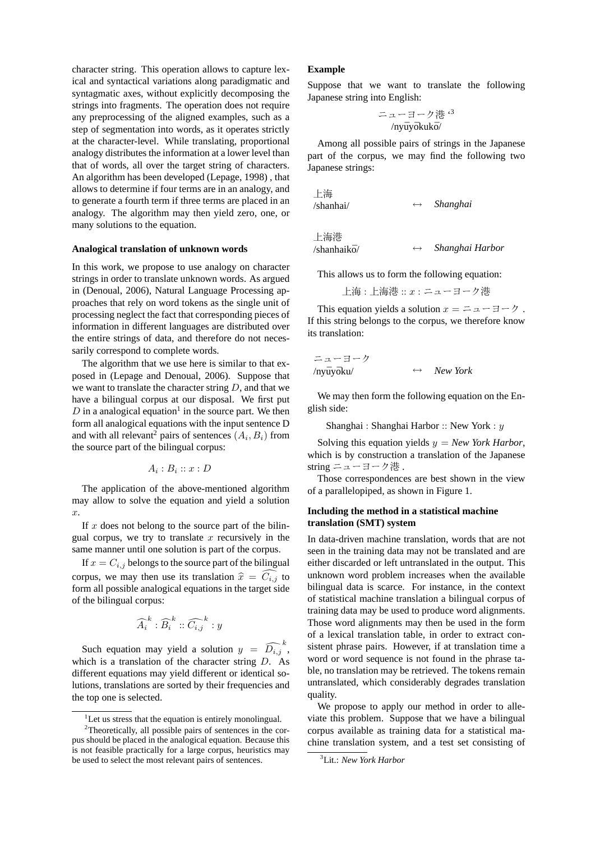character string. This operation allows to capture lexical and syntactical variations along paradigmatic and syntagmatic axes, without explicitly decomposing the strings into fragments. The operation does not require any preprocessing of the aligned examples, such as a step of segmentation into words, as it operates strictly at the character-level. While translating, proportional analogy distributes the information at a lower level than that of words, all over the target string of characters. An algorithm has been developed (Lepage, 1998) , that allows to determine if four terms are in an analogy, and to generate a fourth term if three terms are placed in an analogy. The algorithm may then yield zero, one, or many solutions to the equation.

#### **Analogical translation of unknown words**

In this work, we propose to use analogy on character strings in order to translate unknown words. As argued in (Denoual, 2006), Natural Language Processing approaches that rely on word tokens as the single unit of processing neglect the fact that corresponding pieces of information in different languages are distributed over the entire strings of data, and therefore do not necessarily correspond to complete words.

The algorithm that we use here is similar to that exposed in (Lepage and Denoual, 2006). Suppose that we want to translate the character string  $D$ , and that we have a bilingual corpus at our disposal. We first put  $D$  in a analogical equation<sup>1</sup> in the source part. We then form all analogical equations with the input sentence D and with all relevant<sup>2</sup> pairs of sentences  $(A_i, B_i)$  from the source part of the bilingual corpus:

$$
A_i:B_i::x:D
$$

The application of the above-mentioned algorithm may allow to solve the equation and yield a solution x.

If  $x$  does not belong to the source part of the bilingual corpus, we try to translate  $x$  recursively in the same manner until one solution is part of the corpus.

If  $x = C_{i,j}$  belongs to the source part of the bilingual corpus, we may then use its translation  $\hat{x} = \hat{C}_{i,j}$  to form all possible analogical equations in the target side of the bilingual corpus:

$$
\widehat{A_i}^k : \widehat{B_i}^k :: \widehat{C_{i,j}}^k : y
$$

Such equation may yield a solution  $y = \widehat{D_{i,j}}^k$ , which is a translation of the character string  $D$ . As different equations may yield different or identical solutions, translations are sorted by their frequencies and the top one is selected.

#### **Example**

Suppose that we want to translate the following Japanese string into English:

$$
= \pm \pm \pm \frac{1}{2} + \frac{1}{2} + \frac{1}{2}
$$
  
 /nyūyōkukō/

Among all possible pairs of strings in the Japanese part of the corpus, we may find the following two Japanese strings:

上海 /shanhai/ ↔ *Shanghai*

上海港

/shanhaik¯o/ ↔ *Shanghai Harbor*

This allows us to form the following equation:

上海 : 上海港 :: x : ニューヨーク港

This equation yields a solution  $x = 2a - 7$ . If this string belongs to the corpus, we therefore know its translation:

ニューヨーク /ny¯uy¯oku/ ↔ *New York*

We may then form the following equation on the English side:

Shanghai : Shanghai Harbor :: New York : y

Solving this equation yields  $y = New York Harbor$ , which is by construction a translation of the Japanese string ニューヨーク港 .

Those correspondences are best shown in the view of a parallelopiped, as shown in Figure 1.

#### **Including the method in a statistical machine translation (SMT) system**

In data-driven machine translation, words that are not seen in the training data may not be translated and are either discarded or left untranslated in the output. This unknown word problem increases when the available bilingual data is scarce. For instance, in the context of statistical machine translation a bilingual corpus of training data may be used to produce word alignments. Those word alignments may then be used in the form of a lexical translation table, in order to extract consistent phrase pairs. However, if at translation time a word or word sequence is not found in the phrase table, no translation may be retrieved. The tokens remain untranslated, which considerably degrades translation quality.

We propose to apply our method in order to alleviate this problem. Suppose that we have a bilingual corpus available as training data for a statistical machine translation system, and a test set consisting of

 ${}^{1}$ Let us stress that the equation is entirely monolingual.

<sup>2</sup>Theoretically, all possible pairs of sentences in the corpus should be placed in the analogical equation. Because this is not feasible practically for a large corpus, heuristics may be used to select the most relevant pairs of sentences.

<sup>3</sup>Lit.: *New York Harbor*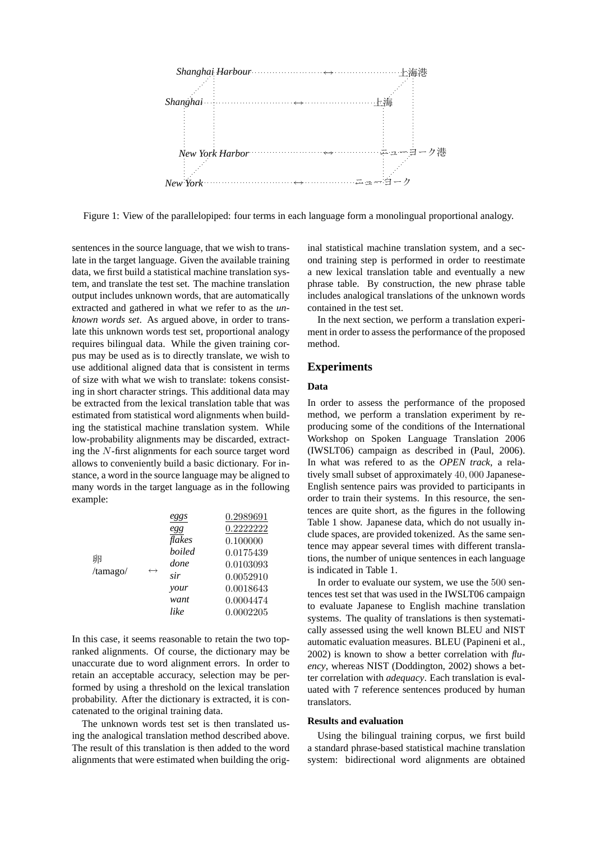

Figure 1: View of the parallelopiped: four terms in each language form a monolingual proportional analogy.

sentences in the source language, that we wish to translate in the target language. Given the available training data, we first build a statistical machine translation system, and translate the test set. The machine translation output includes unknown words, that are automatically extracted and gathered in what we refer to as the *unknown words set*. As argued above, in order to translate this unknown words test set, proportional analogy requires bilingual data. While the given training corpus may be used as is to directly translate, we wish to use additional aligned data that is consistent in terms of size with what we wish to translate: tokens consisting in short character strings. This additional data may be extracted from the lexical translation table that was estimated from statistical word alignments when building the statistical machine translation system. While low-probability alignments may be discarded, extracting the N-first alignments for each source target word allows to conveniently build a basic dictionary. For instance, a word in the source language may be aligned to many words in the target language as in the following example:

|               |                   | eggs          | 0.2989691 |
|---------------|-------------------|---------------|-----------|
| 卵<br>/tamago/ | $\leftrightarrow$ | egg           | 0.2222222 |
|               |                   | flakes        | 0.100000  |
|               |                   | <b>boiled</b> | 0.0175439 |
|               |                   | done          | 0.0103093 |
|               |                   | sir           | 0.0052910 |
|               |                   | your          | 0.0018643 |
|               |                   | want          | 0.0004474 |
|               |                   | like          | 0.0002205 |

In this case, it seems reasonable to retain the two topranked alignments. Of course, the dictionary may be unaccurate due to word alignment errors. In order to retain an acceptable accuracy, selection may be performed by using a threshold on the lexical translation probability. After the dictionary is extracted, it is concatenated to the original training data.

The unknown words test set is then translated using the analogical translation method described above. The result of this translation is then added to the word alignments that were estimated when building the original statistical machine translation system, and a second training step is performed in order to reestimate a new lexical translation table and eventually a new phrase table. By construction, the new phrase table includes analogical translations of the unknown words contained in the test set.

In the next section, we perform a translation experiment in order to assess the performance of the proposed method.

## **Experiments**

## **Data**

In order to assess the performance of the proposed method, we perform a translation experiment by reproducing some of the conditions of the International Workshop on Spoken Language Translation 2006 (IWSLT06) campaign as described in (Paul, 2006). In what was refered to as the *OPEN track*, a relatively small subset of approximately 40, 000 Japanese-English sentence pairs was provided to participants in order to train their systems. In this resource, the sentences are quite short, as the figures in the following Table 1 show. Japanese data, which do not usually include spaces, are provided tokenized. As the same sentence may appear several times with different translations, the number of unique sentences in each language is indicated in Table 1.

In order to evaluate our system, we use the 500 sentences test set that was used in the IWSLT06 campaign to evaluate Japanese to English machine translation systems. The quality of translations is then systematically assessed using the well known BLEU and NIST automatic evaluation measures. BLEU (Papineni et al., 2002) is known to show a better correlation with *fluency*, whereas NIST (Doddington, 2002) shows a better correlation with *adequacy*. Each translation is evaluated with 7 reference sentences produced by human translators.

#### **Results and evaluation**

Using the bilingual training corpus, we first build a standard phrase-based statistical machine translation system: bidirectional word alignments are obtained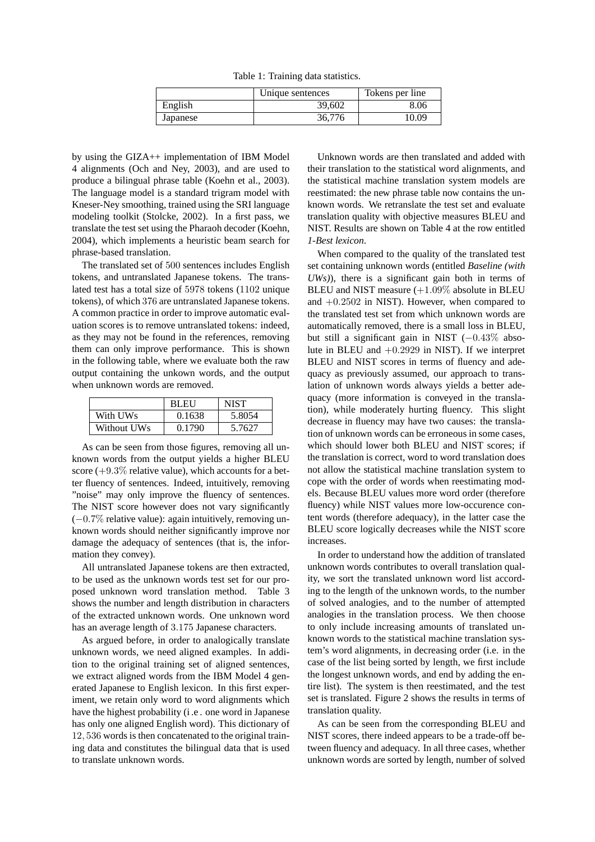Table 1: Training data statistics.

|          | Unique sentences | Tokens per line |
|----------|------------------|-----------------|
| English  | 39,602           | 8.06            |
| Japanese | 36,776           | 10.09           |

by using the GIZA++ implementation of IBM Model 4 alignments (Och and Ney, 2003), and are used to produce a bilingual phrase table (Koehn et al., 2003). The language model is a standard trigram model with Kneser-Ney smoothing, trained using the SRI language modeling toolkit (Stolcke, 2002). In a first pass, we translate the test set using the Pharaoh decoder (Koehn, 2004), which implements a heuristic beam search for phrase-based translation.

The translated set of 500 sentences includes English tokens, and untranslated Japanese tokens. The translated test has a total size of 5978 tokens (1102 unique tokens), of which 376 are untranslated Japanese tokens. A common practice in order to improve automatic evaluation scores is to remove untranslated tokens: indeed, as they may not be found in the references, removing them can only improve performance. This is shown in the following table, where we evaluate both the raw output containing the unkown words, and the output when unknown words are removed.

|             | <b>BLEU</b> | <b>NIST</b> |
|-------------|-------------|-------------|
| With UWs    | 0.1638      | 5.8054      |
| Without UWs | 0.1790      | 5.7627      |

As can be seen from those figures, removing all unknown words from the output yields a higher BLEU score  $(+9.3\%$  relative value), which accounts for a better fluency of sentences. Indeed, intuitively, removing "noise" may only improve the fluency of sentences. The NIST score however does not vary significantly (−0.7% relative value): again intuitively, removing unknown words should neither significantly improve nor damage the adequacy of sentences (that is, the information they convey).

All untranslated Japanese tokens are then extracted, to be used as the unknown words test set for our proposed unknown word translation method. Table 3 shows the number and length distribution in characters of the extracted unknown words. One unknown word has an average length of 3.175 Japanese characters.

As argued before, in order to analogically translate unknown words, we need aligned examples. In addition to the original training set of aligned sentences, we extract aligned words from the IBM Model 4 generated Japanese to English lexicon. In this first experiment, we retain only word to word alignments which have the highest probability (i .e . one word in Japanese has only one aligned English word). This dictionary of 12, 536 words is then concatenated to the original training data and constitutes the bilingual data that is used to translate unknown words.

Unknown words are then translated and added with their translation to the statistical word alignments, and the statistical machine translation system models are reestimated: the new phrase table now contains the unknown words. We retranslate the test set and evaluate translation quality with objective measures BLEU and NIST. Results are shown on Table 4 at the row entitled *1-Best lexicon*.

When compared to the quality of the translated test set containing unknown words (entitled *Baseline (with UWs)*), there is a significant gain both in terms of BLEU and NIST measure (+1.09% absolute in BLEU and  $+0.2502$  in NIST). However, when compared to the translated test set from which unknown words are automatically removed, there is a small loss in BLEU, but still a significant gain in NIST (−0.43% absolute in BLEU and  $+0.2929$  in NIST). If we interpret BLEU and NIST scores in terms of fluency and adequacy as previously assumed, our approach to translation of unknown words always yields a better adequacy (more information is conveyed in the translation), while moderately hurting fluency. This slight decrease in fluency may have two causes: the translation of unknown words can be erroneous in some cases, which should lower both BLEU and NIST scores; if the translation is correct, word to word translation does not allow the statistical machine translation system to cope with the order of words when reestimating models. Because BLEU values more word order (therefore fluency) while NIST values more low-occurence content words (therefore adequacy), in the latter case the BLEU score logically decreases while the NIST score increases.

In order to understand how the addition of translated unknown words contributes to overall translation quality, we sort the translated unknown word list according to the length of the unknown words, to the number of solved analogies, and to the number of attempted analogies in the translation process. We then choose to only include increasing amounts of translated unknown words to the statistical machine translation system's word alignments, in decreasing order (i.e. in the case of the list being sorted by length, we first include the longest unknown words, and end by adding the entire list). The system is then reestimated, and the test set is translated. Figure 2 shows the results in terms of translation quality.

As can be seen from the corresponding BLEU and NIST scores, there indeed appears to be a trade-off between fluency and adequacy. In all three cases, whether unknown words are sorted by length, number of solved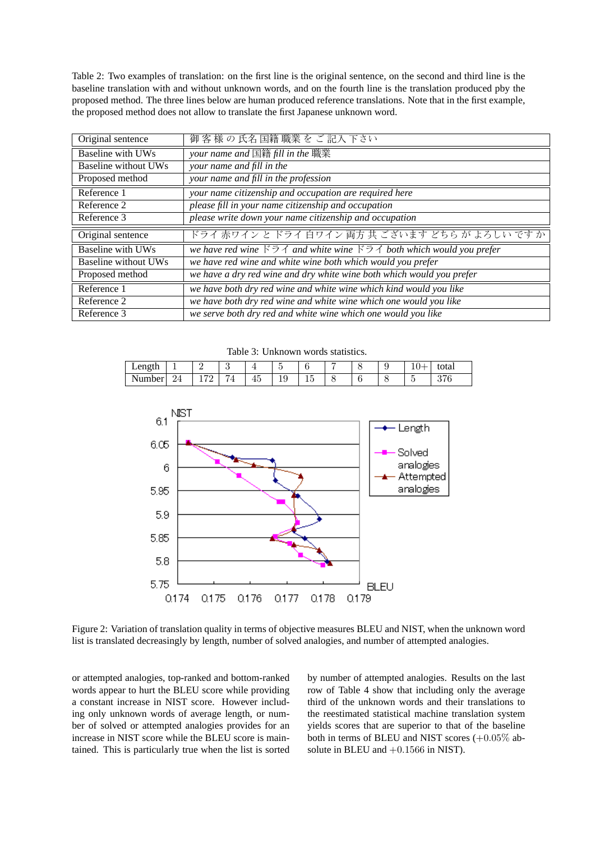Table 2: Two examples of translation: on the first line is the original sentence, on the second and third line is the baseline translation with and without unknown words, and on the fourth line is the translation produced pby the proposed method. The three lines below are human produced reference translations. Note that in the first example, the proposed method does not allow to translate the first Japanese unknown word.

| Original sentence        | 御客様の氏名国籍職業をご記入下さい                                                                                                   |
|--------------------------|---------------------------------------------------------------------------------------------------------------------|
| <b>Baseline with UWs</b> | your name and $\mathbb{\bar{E}}$ 籍 fill in the 職業                                                                   |
| Baseline without UWs     | your name and fill in the                                                                                           |
| Proposed method          | your name and fill in the profession                                                                                |
| Reference 1              | your name citizenship and occupation are required here                                                              |
| Reference 2              | please fill in your name citizenship and occupation                                                                 |
| Reference 3              | please write down your name citizenship and occupation                                                              |
|                          |                                                                                                                     |
| Original sentence        | ドライ 赤ワイン と ドライ 白ワイン 両方 共 ございます どちら が よろしい です か                                                                      |
| <b>Baseline with UWs</b> | we have red wine $\ddot{\beta} \dot{\gamma}$ and white wine $\ddot{\beta} \dot{\gamma}$ both which would you prefer |
| Baseline without UWs     | we have red wine and white wine both which would you prefer                                                         |
| Proposed method          | we have a dry red wine and dry white wine both which would you prefer                                               |
| Reference 1              | we have both dry red wine and white wine which kind would you like                                                  |
| Reference 2              | we have both dry red wine and white wine which one would you like                                                   |

Table 3: Unknown words statistics.

| Length<br>$-0.1$ |     |     |   |    | $\overline{\phantom{a}}$<br>٠ |                 |  |  | otal            |
|------------------|-----|-----|---|----|-------------------------------|-----------------|--|--|-----------------|
| Number<br>21 U   | - - | $-$ | I | ΙV | ⊥ບ                            | . .<br><b>.</b> |  |  | $\Omega$ $\Box$ |



Figure 2: Variation of translation quality in terms of objective measures BLEU and NIST, when the unknown word list is translated decreasingly by length, number of solved analogies, and number of attempted analogies.

or attempted analogies, top-ranked and bottom-ranked words appear to hurt the BLEU score while providing a constant increase in NIST score. However including only unknown words of average length, or number of solved or attempted analogies provides for an increase in NIST score while the BLEU score is maintained. This is particularly true when the list is sorted by number of attempted analogies. Results on the last row of Table 4 show that including only the average third of the unknown words and their translations to the reestimated statistical machine translation system yields scores that are superior to that of the baseline both in terms of BLEU and NIST scores  $(+0.05\%$  absolute in BLEU and +0.1566 in NIST).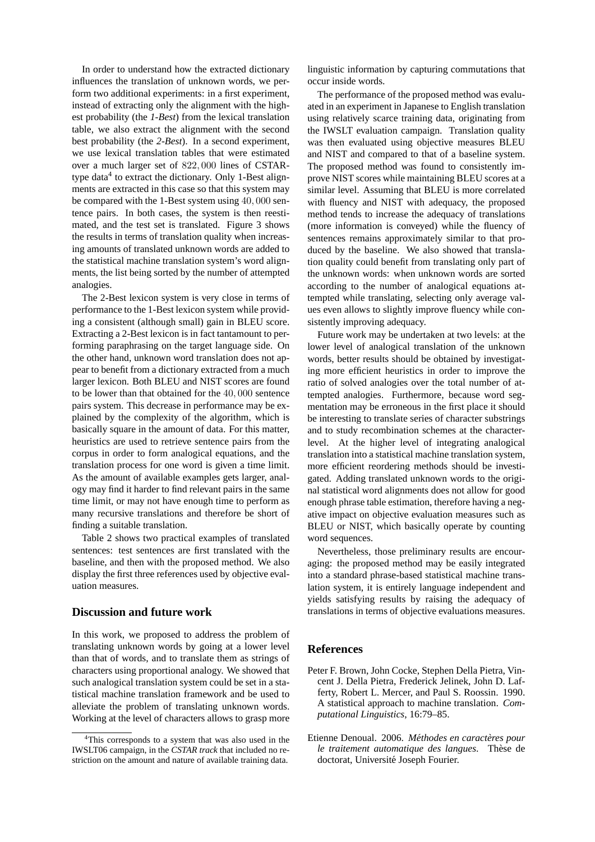In order to understand how the extracted dictionary influences the translation of unknown words, we perform two additional experiments: in a first experiment, instead of extracting only the alignment with the highest probability (the *1-Best*) from the lexical translation table, we also extract the alignment with the second best probability (the *2-Best*). In a second experiment, we use lexical translation tables that were estimated over a much larger set of 822, 000 lines of CSTARtype data<sup>4</sup> to extract the dictionary. Only 1-Best alignments are extracted in this case so that this system may be compared with the 1-Best system using 40, 000 sentence pairs. In both cases, the system is then reestimated, and the test set is translated. Figure 3 shows the results in terms of translation quality when increasing amounts of translated unknown words are added to the statistical machine translation system's word alignments, the list being sorted by the number of attempted analogies.

The 2-Best lexicon system is very close in terms of performance to the 1-Best lexicon system while providing a consistent (although small) gain in BLEU score. Extracting a 2-Best lexicon is in fact tantamount to performing paraphrasing on the target language side. On the other hand, unknown word translation does not appear to benefit from a dictionary extracted from a much larger lexicon. Both BLEU and NIST scores are found to be lower than that obtained for the 40, 000 sentence pairs system. This decrease in performance may be explained by the complexity of the algorithm, which is basically square in the amount of data. For this matter, heuristics are used to retrieve sentence pairs from the corpus in order to form analogical equations, and the translation process for one word is given a time limit. As the amount of available examples gets larger, analogy may find it harder to find relevant pairs in the same time limit, or may not have enough time to perform as many recursive translations and therefore be short of finding a suitable translation.

Table 2 shows two practical examples of translated sentences: test sentences are first translated with the baseline, and then with the proposed method. We also display the first three references used by objective evaluation measures.

## **Discussion and future work**

In this work, we proposed to address the problem of translating unknown words by going at a lower level than that of words, and to translate them as strings of characters using proportional analogy. We showed that such analogical translation system could be set in a statistical machine translation framework and be used to alleviate the problem of translating unknown words. Working at the level of characters allows to grasp more linguistic information by capturing commutations that occur inside words.

The performance of the proposed method was evaluated in an experiment in Japanese to English translation using relatively scarce training data, originating from the IWSLT evaluation campaign. Translation quality was then evaluated using objective measures BLEU and NIST and compared to that of a baseline system. The proposed method was found to consistently improve NIST scores while maintaining BLEU scores at a similar level. Assuming that BLEU is more correlated with fluency and NIST with adequacy, the proposed method tends to increase the adequacy of translations (more information is conveyed) while the fluency of sentences remains approximately similar to that produced by the baseline. We also showed that translation quality could benefit from translating only part of the unknown words: when unknown words are sorted according to the number of analogical equations attempted while translating, selecting only average values even allows to slightly improve fluency while consistently improving adequacy.

Future work may be undertaken at two levels: at the lower level of analogical translation of the unknown words, better results should be obtained by investigating more efficient heuristics in order to improve the ratio of solved analogies over the total number of attempted analogies. Furthermore, because word segmentation may be erroneous in the first place it should be interesting to translate series of character substrings and to study recombination schemes at the characterlevel. At the higher level of integrating analogical translation into a statistical machine translation system, more efficient reordering methods should be investigated. Adding translated unknown words to the original statistical word alignments does not allow for good enough phrase table estimation, therefore having a negative impact on objective evaluation measures such as BLEU or NIST, which basically operate by counting word sequences.

Nevertheless, those preliminary results are encouraging: the proposed method may be easily integrated into a standard phrase-based statistical machine translation system, it is entirely language independent and yields satisfying results by raising the adequacy of translations in terms of objective evaluations measures.

## **References**

- Peter F. Brown, John Cocke, Stephen Della Pietra, Vincent J. Della Pietra, Frederick Jelinek, John D. Lafferty, Robert L. Mercer, and Paul S. Roossin. 1990. A statistical approach to machine translation. *Computational Linguistics*, 16:79–85.
- Etienne Denoual. 2006. Méthodes en caractères pour *le traitement automatique des langues*. Th`ese de doctorat, Université Joseph Fourier.

<sup>&</sup>lt;sup>4</sup>This corresponds to a system that was also used in the IWSLT06 campaign, in the *CSTAR track* that included no restriction on the amount and nature of available training data.